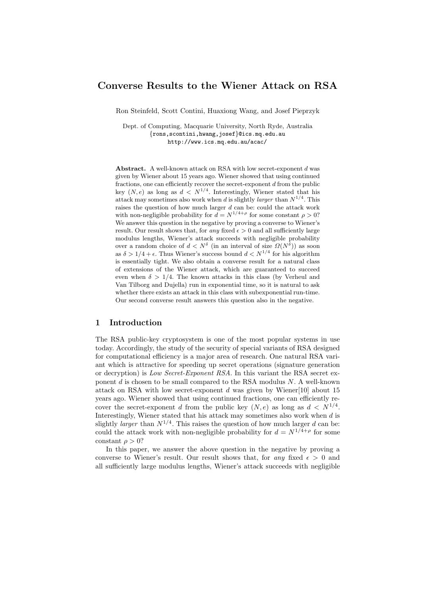# Converse Results to the Wiener Attack on RSA

Ron Steinfeld, Scott Contini, Huaxiong Wang, and Josef Pieprzyk

Dept. of Computing, Macquarie University, North Ryde, Australia {rons,scontini,hwang,josef}@ics.mq.edu.au http://www.ics.mq.edu.au/acac/

Abstract. A well-known attack on RSA with low secret-exponent d was given by Wiener about 15 years ago. Wiener showed that using continued fractions, one can efficiently recover the secret-exponent d from the public key  $(N, e)$  as long as  $d \langle N^{1/4}$ . Interestingly, Wiener stated that his attack may sometimes also work when d is slightly *larger* than  $N^{1/4}$ . This raises the question of how much larger  $d$  can be: could the attack work with non-negligible probability for  $d = N^{1/4+\rho}$  for some constant  $\rho > 0$ ? We answer this question in the negative by proving a converse to Wiener's result. Our result shows that, for any fixed  $\epsilon > 0$  and all sufficiently large modulus lengths, Wiener's attack succeeds with negligible probability over a random choice of  $d < N^{\delta}$  (in an interval of size  $\Omega(N^{\delta})$ ) as soon as  $\delta > 1/4 + \epsilon$ . Thus Wiener's success bound  $d < N^{1/4}$  for his algorithm is essentially tight. We also obtain a converse result for a natural class of extensions of the Wiener attack, which are guaranteed to succeed even when  $\delta > 1/4$ . The known attacks in this class (by Verheul and Van Tilborg and Dujella) run in exponential time, so it is natural to ask whether there exists an attack in this class with subexponential run-time. Our second converse result answers this question also in the negative.

## 1 Introduction

The RSA public-key cryptosystem is one of the most popular systems in use today. Accordingly, the study of the security of special variants of RSA designed for computational efficiency is a major area of research. One natural RSA variant which is attractive for speeding up secret operations (signature generation or decryption) is Low Secret-Exponent RSA. In this variant the RSA secret exponent  $d$  is chosen to be small compared to the RSA modulus  $N$ . A well-known attack on RSA with low secret-exponent  $d$  was given by Wiener[10] about 15 years ago. Wiener showed that using continued fractions, one can efficiently recover the secret-exponent d from the public key  $(N, e)$  as long as  $d \langle N^{1/4} \rangle$ . Interestingly, Wiener stated that his attack may sometimes also work when d is slightly *larger* than  $N^{1/4}$ . This raises the question of how much larger d can be: could the attack work with non-negligible probability for  $d = N^{1/4+\rho}$  for some constant  $\rho > 0$ ?

In this paper, we answer the above question in the negative by proving a converse to Wiener's result. Our result shows that, for any fixed  $\epsilon > 0$  and all sufficiently large modulus lengths, Wiener's attack succeeds with negligible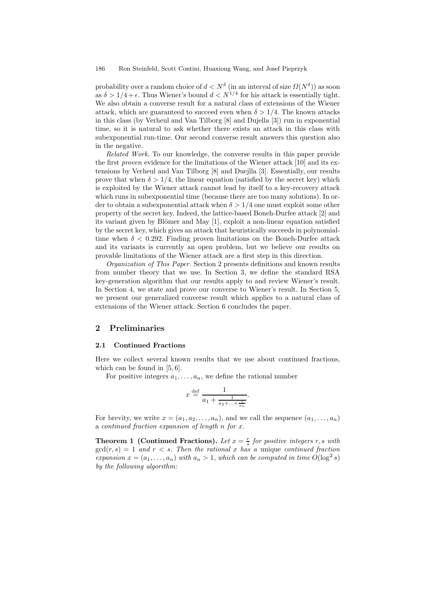probability over a random choice of  $d < N^{\delta}$  (in an interval of size  $\Omega(N^{\delta}))$  as soon as  $\delta > 1/4 + \epsilon$ . Thus Wiener's bound  $d < N^{1/4}$  for his attack is essentially tight. We also obtain a converse result for a natural class of extensions of the Wiener attack, which are guaranteed to succeed even when  $\delta > 1/4$ . The known attacks in this class (by Verheul and Van Tilborg [8] and Dujella [3]) run in exponential time, so it is natural to ask whether there exists an attack in this class with subexponential run-time. Our second converse result answers this question also in the negative.

Related Work. To our knowledge, the converse results in this paper provide the first proven evidence for the limitations of the Wiener attack [10] and its extensions by Verheul and Van Tilborg [8] and Duejlla [3]. Essentially, our results prove that when  $\delta > 1/4$ , the linear equation (satisfied by the secret key) which is exploited by the Wiener attack cannot lead by itself to a key-recovery attack which runs in subexponential time (because there are too many solutions). In order to obtain a subexponential attack when  $\delta > 1/4$  one must exploit some other property of the secret key. Indeed, the lattice-based Boneh-Durfee attack [2] and its variant given by Blömer and May  $[1]$ , exploit a non-linear equation satisfied by the secret key, which gives an attack that heuristically succeeds in polynomialtime when  $\delta < 0.292$ . Finding proven limitations on the Boneh-Durfee attack and its variants is currently an open problem, but we believe our results on provable limitations of the Wiener attack are a first step in this direction.

Organization of This Paper. Section 2 presents definitions and known results from number theory that we use. In Section 3, we define the standard RSA key-generation algorithm that our results apply to and review Wiener's result. In Section 4, we state and prove our converse to Wiener's result. In Section 5, we present our generalized converse result which applies to a natural class of extensions of the Wiener attack. Section 6 concludes the paper.

#### 2 Preliminaries

#### 2.1 Continued Fractions

Here we collect several known results that we use about continued fractions, which can be found in [5, 6].

For positive integers  $a_1, \ldots, a_n$ , we define the rational number

$$
x \stackrel{\text{def}}{=} \frac{1}{a_1 + \frac{1}{a_2 + \dots + \frac{1}{a_n}}}.
$$

For brevity, we write  $x = (a_1, a_2, \ldots, a_n)$ , and we call the sequence  $(a_1, \ldots, a_n)$ a continued fraction expansion of length n for x.

**Theorem 1 (Continued Fractions).** Let  $x = \frac{r}{s}$  for positive integers r, s with  $gcd(r, s) = 1$  and  $r < s$ . Then the rational x has a unique continued fraction expansion  $x = (a_1, \ldots, a_n)$  with  $a_n > 1$ , which can be computed in time  $O(\log^2 s)$ by the following algorithm: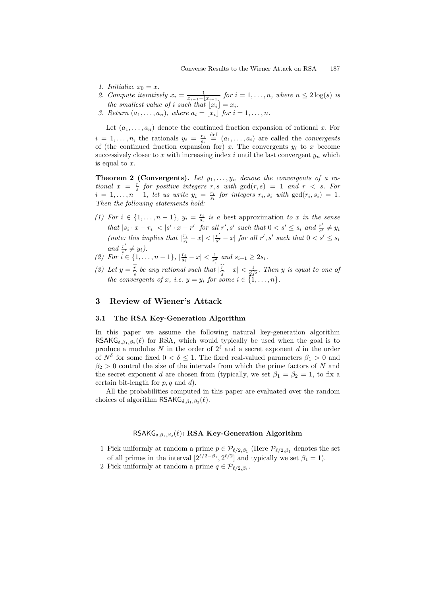- 1. Initialize  $x_0 = x$ .
- 2. Compute iteratively  $x_i = \frac{1}{x_{i-1}-x_{i-1}}$  for  $i = 1, \ldots, n$ , where  $n \leq 2 \log(s)$  is the smallest value of i such that  $\lfloor x_i \rfloor = x_i$ .
- 3. Return  $(a_1, \ldots, a_n)$ , where  $a_i = |x_i|$  for  $i = 1, \ldots, n$ .

Let  $(a_1, \ldots, a_n)$  denote the continued fraction expansion of rational x. For  $i = 1, \ldots, n$ , the rationals  $y_i = \frac{r_i}{s_i} \stackrel{\text{def}}{=} (a_1, \ldots, a_i)$  are called the *convergents* of (the continued fraction expansion for) x. The convergents  $y_i$  to x become successively closer to x with increasing index i until the last convergent  $y_n$  which is equal to x.

**Theorem 2 (Convergents).** Let  $y_1, \ldots, y_n$  denote the convergents of a rational  $x = \frac{r}{s}$  for positive integers r, s with  $gcd(r, s) = 1$  and  $r < s$ . For  $i = 1, \ldots, n-1$ , let us write  $y_i = \frac{r_i}{s_i}$  for integers  $r_i, s_i$  with  $gcd(r_i, s_i) = 1$ . Then the following statements hold:

- (1) For  $i \in \{1, \ldots, n-1\}$ ,  $y_i = \frac{r_i}{s_i}$  is a best approximation to x in the sense that  $|s_i \cdot x - r_i| < |s' \cdot x - r'|$  for all  $r', s'$  such that  $0 < s' \leq s_i$  and  $\frac{r'}{s'}$  $\frac{r}{s'}\neq y_i$ (note: this implies that  $\left|\frac{r_i}{s_i} - x\right| < \left|\frac{r'}{s'}\right|$  $\frac{r'}{s'} - x$  for all r', s' such that  $0 < s' \leq s_i$ and  $\frac{r'}{s'}$  $\frac{r}{s'}\neq y_i$ .
- (2) For  $i \in \{1, ..., n-1\}, |\frac{r_i}{s_i} x| < \frac{1}{s_i^2}$  and  $s_{i+1} \geq 2s_i$ .
- (3) Let  $y = \frac{r}{s}$  $\frac{x}{s}$  be any rational such that  $\frac{y}{s}$ <br>ergents of x, i.e.  $y = y_i$  for so s<br>sc  $-x\vert < \frac{1}{\sqrt{2}}$  $\frac{1}{2s^2}$ . Then y is equal to one of<br>{{\dots}}. the convergents of x, i.e.  $y = y_i$  for some  $i \in \{1, \ldots, n\}.$

## 3 Review of Wiener's Attack

#### 3.1 The RSA Key-Generation Algorithm

In this paper we assume the following natural key-generation algorithm RSAKG<sub>δ,  $\beta_1$ ,  $\beta_2(\ell)$  for RSA, which would typically be used when the goal is to</sub> produce a modulus N in the order of  $2^{\ell}$  and a secret exponent d in the order of  $N^{\delta}$  for some fixed  $0 < \delta \leq 1$ . The fixed real-valued parameters  $\beta_1 > 0$  and  $\beta_2 > 0$  control the size of the intervals from which the prime factors of N and the secret exponent d are chosen from (typically, we set  $\beta_1 = \beta_2 = 1$ , to fix a certain bit-length for  $p, q$  and  $d$ ).

All the probabilities computed in this paper are evaluated over the random choices of algorithm  $\mathsf{RSAKG}_{\delta,\beta_1,\beta_2}(\ell)$ .

# RSAK $G_{\delta,\beta_1,\beta_2}(\ell)$ : RSA Key-Generation Algorithm

- 1 Pick uniformly at random a prime  $p \in \mathcal{P}_{\ell/2,\beta_1}$  (Here  $\mathcal{P}_{\ell/2,\beta_1}$  denotes the set of all primes in the interval  $[2^{\ell/2-\beta_1}, 2^{\ell/2}]$  and typically we set  $\beta_1 = 1$ ).
- 2 Pick uniformly at random a prime  $q \in \mathcal{P}_{\ell/2,\beta_1}$ .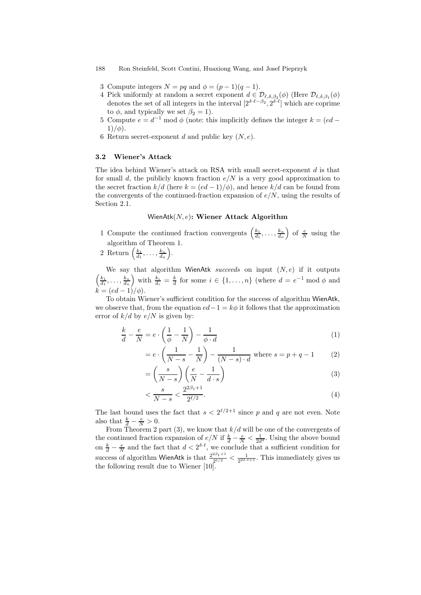- 3 Compute integers  $N = pq$  and  $\phi = (p-1)(q-1)$ .
- 4 Pick uniformly at random a secret exponent  $d \in \mathcal{D}_{\ell,\delta,\beta_2}(\phi)$  (Here  $\mathcal{D}_{\ell,\delta,\beta_1}(\phi)$ denotes the set of all integers in the interval  $[2^{\delta \cdot \ell - \beta_2}, 2^{\delta \cdot \ell}]$  which are coprime to  $\phi$ , and typically we set  $\beta_2 = 1$ ).
- 5 Compute  $e = d^{-1} \mod \phi$  (note: this implicitly defines the integer  $k = (ed 1)$ / $\phi$ ).
- 6 Return secret-exponent d and public key  $(N, e)$ .

#### 3.2 Wiener's Attack

The idea behind Wiener's attack on RSA with small secret-exponent d is that for small d, the publicly known fraction  $e/N$  is a very good approximation to the secret fraction  $k/d$  (here  $k = (ed - 1)/\phi$ ), and hence  $k/d$  can be found from the convergents of the continued-fraction expansion of  $e/N$ , using the results of Section 2.1.

## WienAtk $(N, e)$ : Wiener Attack Algorithm

- 1 Compute the continued fraction convergents  $\left(\frac{k_1}{d_1},\ldots,\frac{k_n}{d_n}\right)$ ) of  $\frac{e}{N}$  using the algorithm of Theorem 1.
- 2 Return  $\left(\frac{k_1}{d_1}, \ldots, \frac{k_n}{d_n}\right)$ .

We say that algorithm WienAtk succeeds on input  $(N, e)$  if it outputs  $\left(\frac{k_1}{d_1},\ldots,\frac{k_n}{d_n}\right)$ with  $\frac{k_i}{d_i} = \frac{k}{d}$  for some  $i \in \{1, ..., n\}$  (where  $d = e^{-1} \mod \phi$  and  $\vec{k} = (ed - 1)/\phi$ .

To obtain Wiener's sufficient condition for the success of algorithm WienAtk, we observe that, from the equation  $ed-1 = k\phi$  it follows that the approximation error of  $k/d$  by  $e/N$  is given by:

$$
\frac{k}{d} - \frac{e}{N} = e \cdot \left(\frac{1}{\phi} - \frac{1}{N}\right) - \frac{1}{\phi \cdot d} \tag{1}
$$

$$
= e \cdot \left(\frac{1}{N-s} - \frac{1}{N}\right) - \frac{1}{(N-s) \cdot d} \text{ where } s = p + q - 1 \tag{2}
$$

$$
= \left(\frac{s}{N-s}\right) \left(\frac{e}{N} - \frac{1}{d \cdot s}\right)
$$
\n<sup>(3)</sup>

$$
\langle \frac{s}{N-s} \rangle \frac{2^{2\beta_1 + 1}}{2^{\ell/2}}.\tag{4}
$$

The last bound uses the fact that  $s < 2^{\ell/2+1}$  since p and q are not even. Note also that  $\frac{k}{d} - \frac{e}{N} > 0$ .

From Theorem 2 part (3), we know that  $k/d$  will be one of the convergents of the continued fraction expansion of  $e/N$  if  $\frac{k}{d} - \frac{e}{N} < \frac{1}{2d^2}$ . Using the above bound on  $\frac{k}{d} - \frac{e}{N}$  and the fact that  $d < 2^{\delta \cdot \ell}$ , we conclude that a sufficient condition for success of algorithm WienAtk is that  $\frac{2^{2\beta_1+1}}{2^{\ell}/2}$  $\frac{2^{2\beta_1+1}}{2^{2\beta_2}} < \frac{1}{2^{2\delta_2\ell+1}}$ . This immediately gives us the following result due to Wiener [10].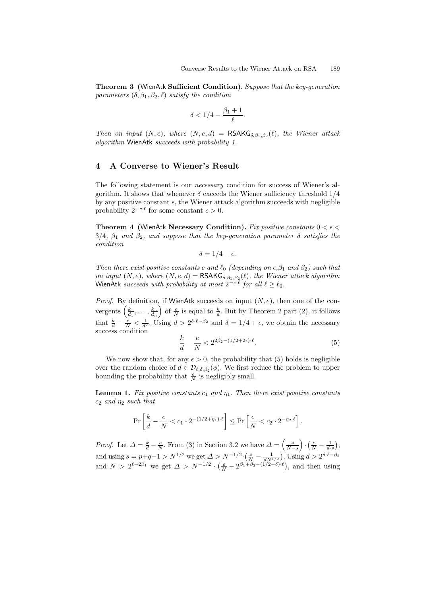Theorem 3 (WienAtk Sufficient Condition). Suppose that the key-generation parameters  $(\delta, \beta_1, \beta_2, \ell)$  satisfy the condition

$$
\delta < 1/4 - \frac{\beta_1 + 1}{\ell}.
$$

Then on input  $(N, e)$ , where  $(N, e, d)$  = RSAKG<sub> $\delta, \beta_1, \beta_2(\ell)$ , the Wiener attack</sub> algorithm WienAtk succeeds with probability 1.

## 4 A Converse to Wiener's Result

The following statement is our *necessary* condition for success of Wiener's algorithm. It shows that whenever  $\delta$  exceeds the Wiener sufficiency threshold  $1/4$ by any positive constant  $\epsilon$ , the Wiener attack algorithm succeeds with negligible probability  $2^{-c \cdot \ell}$  for some constant  $c > 0$ .

**Theorem 4 (WienAtk Necessary Condition).** Fix positive constants  $0 < \epsilon <$  $3/4$ ,  $\beta_1$  and  $\beta_2$ , and suppose that the key-generation parameter  $\delta$  satisfies the condition

$$
\delta = 1/4 + \epsilon.
$$

Then there exist positive constants c and  $\ell_0$  (depending on  $\epsilon, \beta_1$  and  $\beta_2$ ) such that on input  $(N, e)$ , where  $(N, e, d) = \text{RSAKG}_{\delta, \beta_1, \beta_2}(\ell)$ , the Wiener attack algorithm WienAtk succeeds with probability at most  $2^{-c \cdot \ell}$  for all  $\ell \ge \ell_0$ .

*Proof.* By definition, if WienAtk succeeds on input  $(N, e)$ , then one of the convergents  $\left(\frac{k_1}{d_1},\ldots,\frac{k_n}{d_n}\right)$ ) of  $\frac{e}{N}$  is equal to  $\frac{k}{d}$ . But by Theorem 2 part (2), it follows that  $\frac{k}{d} - \frac{e}{N} < \frac{1}{d^2}$ . Using  $d > 2^{\delta \cdot \ell - \beta_2}$  and  $\delta = 1/4 + \epsilon$ , we obtain the necessary success condition

$$
\frac{k}{d} - \frac{e}{N} < 2^{2\beta_2 - (1/2 + 2\epsilon) \cdot \ell}.\tag{5}
$$

We now show that, for any  $\epsilon > 0$ , the probability that (5) holds is negligible over the random choice of  $d \in \mathcal{D}_{\ell,\delta,\beta_2}(\phi)$ . We first reduce the problem to upper bounding the probability that  $\frac{e}{N}$  is negligibly small.

**Lemma 1.** Fix positive constants  $c_1$  and  $\eta_1$ . Then there exist positive constants  $c_2$  and  $\eta_2$  such that

$$
\Pr\left[\frac{k}{d} - \frac{e}{N} < c_1 \cdot 2^{-(1/2 + \eta_1) \cdot \ell}\right] \le \Pr\left[\frac{e}{N} < c_2 \cdot 2^{-\eta_2 \cdot \ell}\right].
$$

*Proof.* Let  $\Delta = \frac{k}{d} - \frac{e}{N}$ . From (3) in Section 3.2 we have  $\Delta = \left(\frac{s}{N-s}\right)$  $\Big) \cdot \Big( \frac{e}{N} - \frac{1}{d \cdot s} \Big),$ and using  $s = p+q-1 > N^{1/2}$  we get  $\Delta > N^{-1/2} \cdot \left(\frac{e}{N} - \frac{1}{dN^{1/2}}\right)$ . Using  $d > 2^{\delta \cdot \ell - \beta_2}$ and  $N > 2^{\ell-2\beta_1}$  we get  $\Delta > N^{-1/2} \cdot \left(\frac{e}{N} - 2^{\beta_1+\beta_2-(1/2+\delta)\cdot\ell}\right)$ , and then using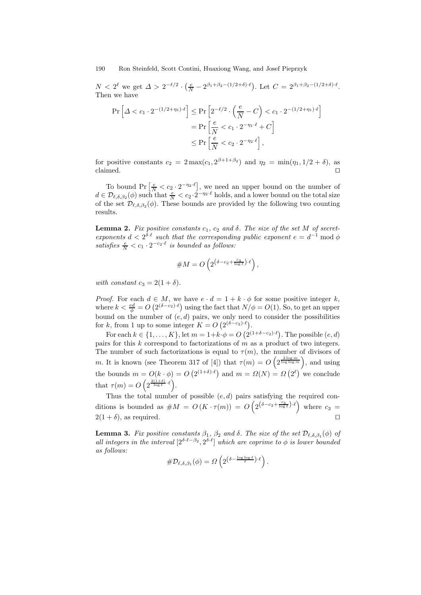$N < 2^{\ell}$  we get  $\Delta > 2^{-\ell/2} \cdot \left(\frac{e}{N} - 2^{\beta_1 + \beta_2 - (1/2 + \delta) \cdot \ell}\right)$ . Let  $C = 2^{\beta_1 + \beta_2 - (1/2 + \delta) \cdot \ell}$ . Then we have

$$
\Pr\left[\Delta < c_1 \cdot 2^{-(1/2+\eta_1)\cdot \ell}\right] \le \Pr\left[2^{-\ell/2} \cdot \left(\frac{e}{N} - C\right) < c_1 \cdot 2^{-(1/2+\eta_1)\cdot \ell}\right] \\
= \Pr\left[\frac{e}{N} < c_1 \cdot 2^{-\eta_1\cdot \ell} + C\right] \\
\le \Pr\left[\frac{e}{N} < c_2 \cdot 2^{-\eta_2\cdot \ell}\right],
$$

for positive constants  $c_2 = 2 \max(c_1, 2^{\beta+1+\beta_2})$  and  $\eta_2 = \min(\eta_1, 1/2 + \delta)$ , as claimed.  $\Box$ 

To bound Pr  $\left[\frac{e}{N} < c_2 \cdot 2^{-\eta_2 \cdot \ell}\right]$ , we need an upper bound on the number of  $d \in \mathcal{D}_{\ell,\delta,\beta_2}(\phi)$  such that  $\frac{e}{N} < c_2 \cdot 2^{-\eta_2 \cdot \ell}$  holds, and a lower bound on the total size of the set  $\mathcal{D}_{\ell,\delta,\beta_2}(\phi)$ . These bounds are provided by the following two counting results.

**Lemma 2.** Fix positive constants  $c_1$ ,  $c_2$  and  $\delta$ . The size of the set M of secretexponents  $d < 2^{\delta \cdot \ell}$  such that the corresponding public exponent  $e = d^{-1} \bmod \phi$ satisfies  $\frac{e}{N} < c_1 \cdot 2^{-c_2 \cdot \ell}$  is bounded as follows:

$$
\#M = O\left(2^{\left(\delta - c_2 + \frac{c_3}{\log \ell}\right) \cdot \ell}\right),
$$

with constant  $c_3 = 2(1 + \delta)$ .

*Proof.* For each  $d \in M$ , we have  $e \cdot d = 1 + k \cdot \phi$  for some positive integer k, where  $k < \frac{ed}{\phi} = O\left(2^{(\delta - c_2) \cdot \ell}\right)$  using the fact that  $N/\phi = O(1)$ . So, to get an upper bound on the number of  $(e, d)$  pairs, we only need to consider the possibilities for k, from 1 up to some integer  $K = O(2^{(\delta - c_2) \cdot \ell})$ .

For each  $k \in \{1, ..., K\}$ , let  $m = 1 + k \cdot \phi = O\left(2^{(1+\delta-c_2)\cdot \ell}\right)$ . The possible  $(e, d)$ pairs for this k correspond to factorizations of  $\hat{m}$  as a product of two integers. The number of such factorizations is equal to  $\tau(m)$ , the number of divisors of m. It is known (see Theorem 317 of [4]) that  $\tau(m) = O\left(2^{\frac{2 \log m}{\log \log m}}\right)$ , and using the bounds  $m = O(k \cdot \phi) = O(2^{(1+\delta)\cdot \ell})$  and  $m = \Omega(N) = \Omega(2^{\ell})$  we conclude that  $\tau(m) = O\left(2^{\frac{2(1+\delta)}{\log \ell} \cdot \ell}\right)$ .

Thus the total number of possible  $(e, d)$  pairs satisfying the required conditions is bounded as  $\#M = O(K \cdot \tau(m)) = O\left(2^{\left(\delta - c_2 + \frac{c_3}{\log \ell}\right) \cdot \ell}\right)$  where  $c_3 =$  $2(1+\delta)$ , as required.

**Lemma 3.** Fix positive constants  $\beta_1$ ,  $\beta_2$  and  $\delta$ . The size of the set  $\mathcal{D}_{\ell,\delta,\beta_1}(\phi)$  of all integers in the interval  $[2^{\delta \cdot \ell - \beta_2}, 2^{\delta \cdot \ell}]$  which are coprime to  $\phi$  is lower bounded as follows:

$$
\#\mathcal{D}_{\ell,\delta,\beta_1}(\phi)=\varOmega\left(2^{\left(\delta-\frac{\log\log\ell}{\ell}\right)\cdot \ell}\right).
$$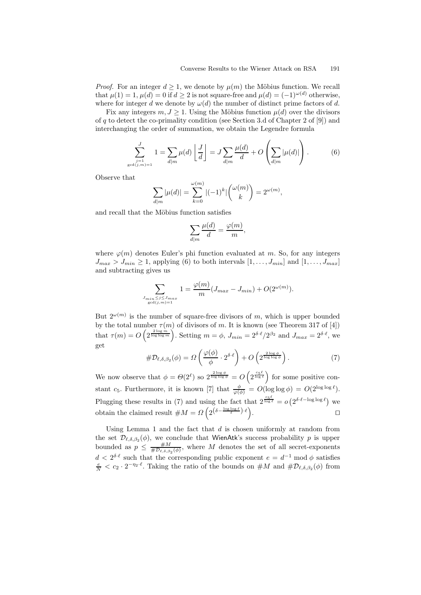*Proof.* For an integer  $d \geq 1$ , we denote by  $\mu(m)$  the Möbius function. We recall that  $\mu(1) = 1$ ,  $\mu(d) = 0$  if  $d \geq 2$  is not square-free and  $\mu(d) = (-1)^{\omega(d)}$  otherwise, where for integer d we denote by  $\omega(d)$  the number of distinct prime factors of d.

Fix any integers  $m, J \geq 1$ . Using the Möbius function  $\mu(d)$  over the divisors of q to detect the co-primality condition (see Section 3.d of Chapter 2 of [9]) and interchanging the order of summation, we obtain the Legendre formula

$$
\sum_{\substack{j=1 \ \text{odd}(j,m)=1}}^{J} 1 = \sum_{d|m} \mu(d) \left\lfloor \frac{J}{d} \right\rfloor = J \sum_{d|m} \frac{\mu(d)}{d} + O\left(\sum_{d|m} |\mu(d)|\right). \tag{6}
$$

,

Observe that

 $\mathbf{g}$ 

$$
\sum_{d|m} |\mu(d)| = \sum_{k=0}^{\omega(m)} |(-1)^k| \binom{\omega(m)}{k} = 2^{\omega(m)},
$$

and recall that the Möbius function satisfies

$$
\sum_{d|m} \frac{\mu(d)}{d} = \frac{\varphi(m)}{m}
$$

where  $\varphi(m)$  denotes Euler's phi function evaluated at m. So, for any integers  $J_{max} > J_{min} \ge 1$ , applying (6) to both intervals  $[1, \ldots, J_{min}]$  and  $[1, \ldots, J_{max}]$ and subtracting gives us

$$
\sum_{J_{\min \le j \le J_{\max} \atop \gcd(j,m)=1}} 1 = \frac{\varphi(m)}{m} (J_{\max} - J_{\min}) + O(2^{\omega(m)}).
$$

But  $2^{\omega(m)}$  is the number of square-free divisors of m, which is upper bounded by the total number  $\tau(m)$  of divisors of m. It is known (see Theorem 317 of [4]) that  $\tau(m) = O\left(2^{\frac{2 \log m}{\log \log m}}\right)$ . Setting  $m = \phi$ ,  $J_{min} = 2^{\delta \cdot \ell}/2^{\beta_2}$  and  $J_{max} = 2^{\delta \cdot \ell}$ , we get

$$
\#\mathcal{D}_{\ell,\delta,\beta_2}(\phi) = \Omega\left(\frac{\varphi(\phi)}{\phi} \cdot 2^{\delta \cdot \ell}\right) + O\left(2^{\frac{2\log\phi}{\log\log\phi}}\right). \tag{7}
$$

We now observe that  $\phi = \Theta(2^{\ell})$  so  $2^{\frac{2 \log \phi}{\log \log \phi}} = O\left(2^{\frac{c_5 \ell}{\log \ell}}\right)$  for some positive constant c<sub>5</sub>. Furthermore, it is known [7] that  $\frac{\phi}{\varphi(\phi)} = O(\log \log \phi) = O(2^{\log \log \ell}).$ Plugging these results in (7) and using the fact that  $2^{\frac{c_5\ell}{\log \ell}} = o(2^{\delta \cdot \ell - \log \log \ell})$  we obtain the claimed result  $\#M = \Omega\left(2^{\left(\delta - \frac{\log \log \ell}{\ell}\right) \cdot \ell}\right)$ . The contract of the contract of  $\Box$ 

Using Lemma 1 and the fact that  $d$  is chosen uniformly at random from the set  $\mathcal{D}_{\ell,\delta,\beta_2}(\phi)$ , we conclude that WienAtk's success probability p is upper bounded as  $p \leq \frac{\#M}{\# \mathcal{D}_{\ell,\delta,\beta_2}(\phi)}$ , where M denotes the set of all secret-exponents  $d < 2^{\delta \cdot \ell}$  such that the corresponding public exponent  $e = d^{-1} \mod \phi$  satisfies  $\frac{e}{N} < c_2 \cdot 2^{-\eta_2 \cdot \ell}$ . Taking the ratio of the bounds on  $\#M$  and  $\#D_{\ell,\delta,\beta_2}(\phi)$  from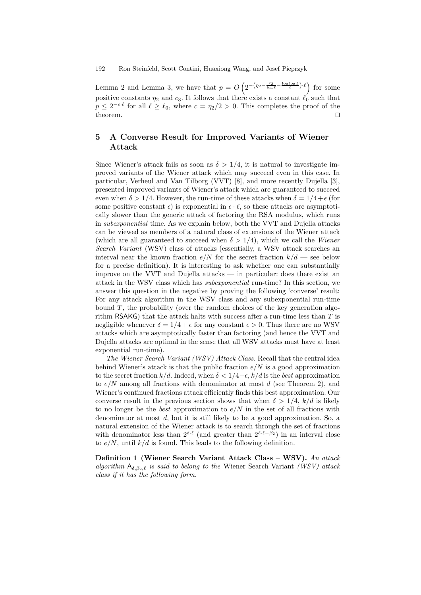Lemma 2 and Lemma 3, we have that  $p = O\left(2^{-\left(\eta_2 - \frac{c_3}{\log \ell} - \frac{\log \log \ell}{\ell}\right) \cdot \ell}\right)$  for some positive constants  $\eta_2$  and  $c_3$ . It follows that there exists a constant  $\ell_0$  such that  $p \leq 2^{-c \cdot \ell}$  for all  $\ell \geq \ell_0$ , where  $c = \eta_2/2 > 0$ . This completes the proof of the theorem.  $\Box$ 

## 5 A Converse Result for Improved Variants of Wiener Attack

Since Wiener's attack fails as soon as  $\delta > 1/4$ , it is natural to investigate improved variants of the Wiener attack which may succeed even in this case. In particular, Verheul and Van Tilborg (VVT) [8], and more recently Dujella [3], presented improved variants of Wiener's attack which are guaranteed to succeed even when  $\delta > 1/4$ . However, the run-time of these attacks when  $\delta = 1/4 + \epsilon$  (for some positive constant  $\epsilon$ ) is exponential in  $\epsilon \cdot \ell$ , so these attacks are asymptotically slower than the generic attack of factoring the RSA modulus, which runs in subexponential time. As we explain below, both the VVT and Dujella attacks can be viewed as members of a natural class of extensions of the Wiener attack (which are all guaranteed to succeed when  $\delta > 1/4$ ), which we call the Wiener Search Variant (WSV) class of attacks (essentially, a WSV attack searches an interval near the known fraction  $e/N$  for the secret fraction  $k/d$  — see below for a precise definition). It is interesting to ask whether one can substantially improve on the VVT and Dujella attacks — in particular: does there exist an attack in the WSV class which has subexponential run-time? In this section, we answer this question in the negative by proving the following 'converse' result: For any attack algorithm in the WSV class and any subexponential run-time bound  $T$ , the probability (over the random choices of the key generation algorithm RSAKG) that the attack halts with success after a run-time less than  $T$  is negligible whenever  $\delta = 1/4 + \epsilon$  for any constant  $\epsilon > 0$ . Thus there are no WSV attacks which are asymptotically faster than factoring (and hence the VVT and Dujella attacks are optimal in the sense that all WSV attacks must have at least exponential run-time).

The Wiener Search Variant (WSV) Attack Class. Recall that the central idea behind Wiener's attack is that the public fraction  $e/N$  is a good approximation to the secret fraction  $k/d$ . Indeed, when  $\delta < 1/4 - \epsilon$ ,  $k/d$  is the best approximation to  $e/N$  among all fractions with denominator at most d (see Theorem 2), and Wiener's continued fractions attack efficiently finds this best approximation. Our converse result in the previous section shows that when  $\delta > 1/4$ ,  $k/d$  is likely to no longer be the *best* approximation to  $e/N$  in the set of all fractions with denominator at most d, but it is still likely to be a good approximation. So, a natural extension of the Wiener attack is to search through the set of fractions with denominator less than  $2^{\delta \cdot \ell}$  (and greater than  $2^{\delta \cdot \ell - \beta_2}$ ) in an interval close to  $e/N$ , until  $k/d$  is found. This leads to the following definition.

Definition 1 (Wiener Search Variant Attack Class – WSV). An attack algorithm  $A_{\delta,\beta_2,\ell}$  is said to belong to the Wiener Search Variant (WSV) attack class if it has the following form.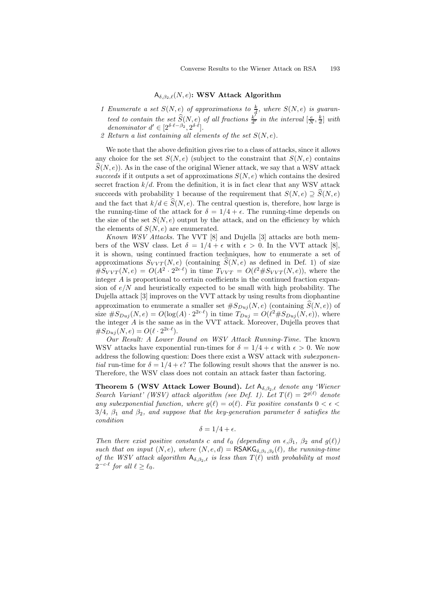#### $A_{\delta,\beta_2,\ell}(N,e)$ : WSV Attack Algorithm

- 1 Enumerate a set  $S(N, e)$  of approximations to  $\frac{k}{d}$ , where  $S(N, e)$  is guaranteed to contain the set  $\widehat{S}(N, e)$  of all fractions  $\frac{k^{T}}{d'}$  in the interval  $\left[\frac{e}{N}, \frac{k}{d}\right]$  with denominator  $d' \in [2^{\delta \cdot \ell - \beta_2}, 2^{\delta \cdot \ell}].$
- 2 Return a list containing all elements of the set  $S(N, e)$ .

We note that the above definition gives rise to a class of attacks, since it allows any choice for the set  $S(N, e)$  (subject to the constraint that  $S(N, e)$  contains  $\hat{S}(N, e)$ ). As in the case of the original Wiener attack, we say that a WSV attack succeeds if it outputs a set of approximations  $S(N, e)$  which contains the desired secret fraction  $k/d$ . From the definition, it is in fact clear that any WSV attack succeeds with probability 1 because of the requirement that  $S(N, e) \supset \widehat{S}(N, e)$ and the fact that  $k/d \in \widehat{S}(N, e)$ . The central question is, therefore, how large is the running-time of the attack for  $\delta = 1/4 + \epsilon$ . The running-time depends on the size of the set  $S(N, e)$  output by the attack, and on the efficiency by which the elements of  $S(N, e)$  are enumerated.

Known WSV Attacks. The VVT [8] and Dujella [3] attacks are both members of the WSV class. Let  $\delta = 1/4 + \epsilon$  with  $\epsilon > 0$ . In the VVT attack [8], it is shown, using continued fraction techniques, how to enumerate a set of approximations  $S_{VVT}(N, e)$  (containing  $\hat{S}(N, e)$  as defined in Def. 1) of size  $\#S_{VVT}(N,e) = O(A^2 \cdot 2^{2\epsilon \cdot \ell})$  in time  $T_{VVT} = O(\ell^2 \# S_{VVT}(N,e))$ , where the integer A is proportional to certain coefficients in the continued fraction expansion of  $e/N$  and heuristically expected to be small with high probability. The Dujella attack [3] improves on the VVT attack by using results from diophantine approximation to enumerate a smaller set  $\#S_{Du}(N, e)$  (containing  $\widehat{S}(N, e)$ ) of size  $\#S_{Duj}(N,e) = O(\log(A) \cdot 2^{2\epsilon \cdot \ell})$  in time  $T_{Duj} = O(\ell^2 \# S_{Duj}(N,e))$ , where the integer A is the same as in the VVT attack. Moreover, Dujella proves that  $\#S_{Duj}(N,e) = O(\ell \cdot 2^{2\epsilon \cdot \ell}).$ 

Our Result: A Lower Bound on WSV Attack Running-Time. The known WSV attacks have exponential run-times for  $\delta = 1/4 + \epsilon$  with  $\epsilon > 0$ . We now address the following question: Does there exist a WSV attack with subexponential run-time for  $\delta = 1/4 + \epsilon$ ? The following result shows that the answer is no. Therefore, the WSV class does not contain an attack faster than factoring.

**Theorem 5 (WSV Attack Lower Bound).** Let  $A_{\delta,\beta_2,\ell}$  denote any 'Wiener Search Variant' (WSV) attack algorithm (see Def. 1). Let  $T(\ell) = 2^{g(\ell)}$  denote any subexponential function, where  $g(\ell) = o(\ell)$ . Fix positive constants  $0 < \epsilon <$  $3/4$ ,  $\beta_1$  and  $\beta_2$ , and suppose that the key-generation parameter  $\delta$  satisfies the condition

$$
\delta = 1/4 + \epsilon.
$$

Then there exist positive constants c and  $\ell_0$  (depending on  $\epsilon, \beta_1, \beta_2$  and  $g(\ell)$ ) such that on input  $(N, e)$ , where  $(N, e, d) = \text{RSAKG}_{\delta, \beta_1, \beta_2}(\ell)$ , the running-time of the WSV attack algorithm  $A_{\delta,\beta_2,\ell}$  is less than  $T(\ell)$  with probability at most  $2^{-c\cdot \ell}$  for all  $\ell \geq \ell_0$ .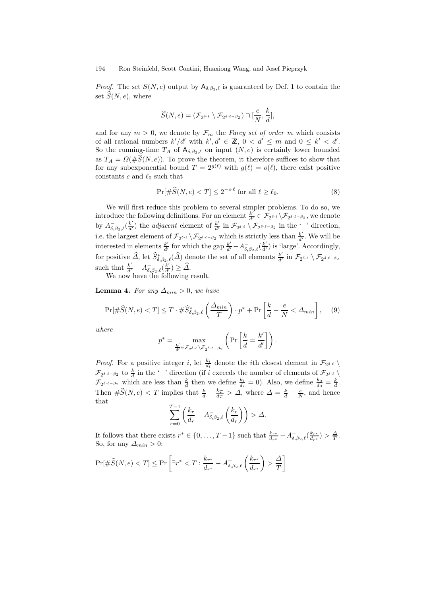*Proof.* The set  $S(N, e)$  output by  $A_{\delta, \beta_2, \ell}$  is guaranteed by Def. 1 to contain the set  $\hat{S}(N, e)$ , where

$$
\widehat{S}(N,e) = (\mathcal{F}_{2^{\delta \cdot \ell}} \setminus \mathcal{F}_{2^{\delta \cdot \ell - \beta_2}}) \cap [\frac{e}{N},\frac{k}{d}],
$$

and for any  $m > 0$ , we denote by  $\mathcal{F}_m$  the Farey set of order m which consists of all rational numbers  $k'/d'$  with  $k', d' \in \mathbb{Z}$ ,  $0 < d' \leq m$  and  $0 \leq k' < d'$ . So the running-time  $T_A$  of  $A_{\delta,\beta_2,\ell}$  on input  $(N, e)$  is certainly lower bounded as  $T_A = \Omega(\#\widehat{S}(N,e))$ . To prove the theorem, it therefore suffices to show that for any subexponential bound  $T = 2^{g(\ell)}$  with  $g(\ell) = o(\ell)$ , there exist positive constants c and  $\ell_0$  such that

$$
\Pr[\#\widehat{S}(N,e) < T] \le 2^{-c\cdot\ell} \text{ for all } \ell \ge \ell_0. \tag{8}
$$

We will first reduce this problem to several simpler problems. To do so, we introduce the following definitions. For an element  $\frac{k'}{d'} \in \mathcal{F}_{2^{\delta \cdot \ell}} \setminus \mathcal{F}_{2^{\delta \cdot \ell - \beta_2}}$ , we denote by  $A_{\delta,\beta_2,\ell}^{-}(\frac{k'}{d'})$  the *adjacent* element of  $\frac{k'}{d'}$  $\frac{k'}{d'}$  in  $\mathcal{F}_{2^{\delta \cdot \ell}} \setminus \mathcal{F}_{2^{\delta \cdot \ell-\beta_2}}$  in the '-' direction, i.e. the largest element of  $\mathcal{F}_{2^{\delta \cdot \ell}} \setminus \mathcal{F}_{2^{\delta \cdot \ell - \beta_2}}$  which is strictly less than  $\frac{k'}{d'}$  $\frac{k'}{d'}$ . We will be interested in elements  $\frac{k'}{d'}$  for which the gap  $\frac{k'}{d'} - A_{\delta,\beta_2,\ell}^{-}(\frac{k'}{d'})$  is 'large'. Accordingly, for positive  $\widehat{\Delta}$ , let  $\widehat{S}_{\delta,\beta_2,\ell}^*(\widehat{\Delta})$  denote the set of all elements  $\frac{k'}{d'}$  $\frac{k'}{d'}$  in  $\mathcal{F}_{2^{\delta+\ell}} \setminus \mathcal{F}_{2^{\delta+\ell-\beta_2}}$ such that  $\frac{k'}{d'} - A_{\delta,\beta_2,\ell}^{-}(\frac{k'}{d'}) \geq \widehat{\Delta}$ .

We now have the following result.

**Lemma 4.** For any  $\Delta_{min} > 0$ , we have

$$
\Pr[\#\widehat{S}(N,e) < T] \le T \cdot \#\widehat{S}^*_{\delta,\beta_2,\ell} \left(\frac{\Delta_{min}}{T}\right) \cdot p^* + \Pr\left[\frac{k}{d} - \frac{e}{N} < \Delta_{min}\right],\tag{9}
$$

where

$$
p^* = \max_{\frac{k'}{d'} \in \mathcal{F}_{2^{\delta \cdot \ell}} \setminus \mathcal{F}_{2^{\delta \cdot \ell - \beta_2}}} \left( \Pr\left[ \frac{k}{d} = \frac{k'}{d'} \right] \right).
$$

*Proof.* For a positive integer i, let  $\frac{k_i}{d_i}$  denote the ith closest element in  $\mathcal{F}_{2^{\delta \cdot \ell}}$  $\mathcal{F}_{2^{\delta\cdot\ell-\beta_2}}$  to  $\frac{k}{d}$  in the '−' direction (if i exceeds the number of elements of  $\mathcal{F}_{2^{\delta\cdot\ell}}\setminus\mathcal{F}_{2^{\delta\cdot\ell}}$  $\mathcal{F}_{2^{\delta \cdot \ell-\beta_2}}$  which are less than  $\frac{k}{d}$  then we define  $\frac{k_i}{d_i} = 0$ ). Also, we define  $\frac{k_0}{d_0} = \frac{k}{d}$ . Then  $\#\widehat{S}(N,e) < T$  implies that  $\frac{k}{d} - \frac{k_T}{d_T} > \Delta$ , where  $\Delta = \frac{k}{d} - \frac{e}{N}$ , and hence that T

$$
\sum_{r=0}^{T-1} \left( \frac{k_r}{d_r} - A_{\delta, \beta_2, \ell}^-\left(\frac{k_r}{d_r}\right) \right) > \Delta.
$$

It follows that there exists  $r^* \in \{0, \ldots, T-1\}$  such that  $\frac{k_{r^*}}{d_{r^*}} - A_{\delta,\beta_2,\ell}^{-}(\frac{k_{r^*}}{d_{r^*}}) > \frac{\Delta}{T}$ . So, for any  $\Delta_{min} > 0$ :

$$
\Pr[\#\widehat{S}(N,e) < T] \le \Pr\left[\exists r^* < T : \frac{k_{r^*}}{d_{r^*}} - A_{\delta,\beta_2,\ell}^-\left(\frac{k_{r^*}}{d_{r^*}}\right) > \frac{\Delta}{T}\right]
$$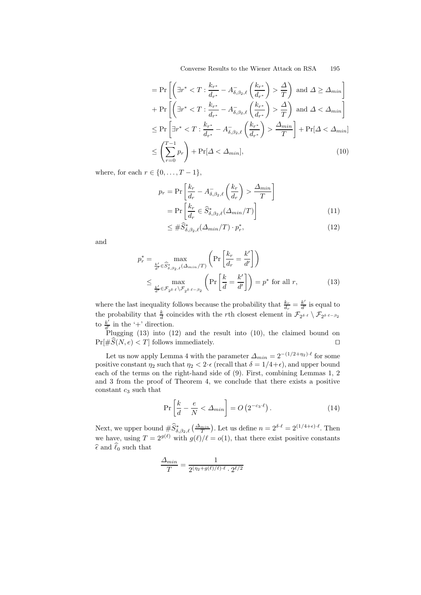Converse Results to the Wiener Attack on RSA 195

$$
= \Pr\left[\left(\exists r^* < T : \frac{k_{r^*}}{d_{r^*}} - A_{\delta,\beta_2,\ell}^{-} \left(\frac{k_{r^*}}{d_{r^*}}\right) > \frac{\Delta}{T}\right) \text{ and } \Delta \geq \Delta_{min}\right] \\
+ \Pr\left[\left(\exists r^* < T : \frac{k_{r^*}}{d_{r^*}} - A_{\delta,\beta_2,\ell}^{-} \left(\frac{k_{r^*}}{d_{r^*}}\right) > \frac{\Delta}{T}\right) \text{ and } \Delta < \Delta_{min}\right] \\
\leq \Pr\left[\exists r^* < T : \frac{k_{r^*}}{d_{r^*}} - A_{\delta,\beta_2,\ell}^{-} \left(\frac{k_{r^*}}{d_{r^*}}\right) > \frac{\Delta_{min}}{T}\right] + \Pr[\Delta < \Delta_{min}] \\
\leq \left(\sum_{r=0}^{T-1} p_r\right) + \Pr[\Delta < \Delta_{min}], \tag{10}
$$

where, for each  $r \in \{0, \ldots, T-1\}$ ,

$$
p_r = \Pr\left[\frac{k_r}{d_r} - A_{\delta,\beta_2,\ell}^{-}\left(\frac{k_r}{d_r}\right) > \frac{\Delta_{min}}{T}\right]
$$

$$
= \Pr\left[\frac{k_r}{d_r} \in \hat{S}_{\delta,\beta_2,\ell}^{*}(\Delta_{min}/T)\right]
$$
(11)

$$
\leq \#\widehat{S}_{\delta,\beta_2,\ell}^*(\Delta_{\min}/T) \cdot p_r^*,\tag{12}
$$

and

$$
p_r^* = \max_{\frac{k'}{d'} \in \widehat{S}_{\delta, \beta_2, \ell}^*(\Delta_{\min}/T)} \left( \Pr\left[\frac{k_r}{d_r} = \frac{k'}{d'}\right] \right)
$$
  

$$
\leq \max_{\frac{k'}{d'} \in \mathcal{F}_{2^{\delta \cdot \ell}} \setminus \mathcal{F}_{2^{\delta \cdot \ell} - \beta_2}} \left( \Pr\left[\frac{k}{d} = \frac{k'}{d'}\right] \right) = p^* \text{ for all } r,
$$
 (13)

where the last inequality follows because the probability that  $\frac{k_r}{d_r} = \frac{k'}{d'}$  $\frac{k'}{d'}$  is equal to the probability that  $\frac{k}{d}$  coincides with the *r*th closest element in  $\mathcal{F}_{2^{\delta \cdot \ell}} \setminus \mathcal{F}_{2^{\delta \cdot \ell} - \beta_2}$ to  $\frac{k'}{d'}$  $\frac{k'}{d'}$  in the '+' direction.

Plugging (13) into (12) and the result into (10), the claimed bound on  $Pr[\#\widehat{S}(N, e) < T]$  follows immediately.

Let us now apply Lemma 4 with the parameter  $\Delta_{min} = 2^{-(1/2 + \eta_2) \cdot \ell}$  for some positive constant  $\eta_2$  such that  $\eta_2 < 2 \cdot \epsilon$  (recall that  $\delta = 1/4 + \epsilon$ ), and upper bound each of the terms on the right-hand side of (9). First, combining Lemmas 1, 2 and 3 from the proof of Theorem 4, we conclude that there exists a positive constant  $c_3$  such that

$$
\Pr\left[\frac{k}{d} - \frac{e}{N} < \Delta_{min}\right] = O\left(2^{-c_3 \cdot \ell}\right). \tag{14}
$$

Next, we upper bound  $\#\widehat{S}_{\delta,\beta_2,\ell}^*(\frac{\Delta_{min}}{T})$ . Let us define  $n = 2^{\delta \cdot \ell} = 2^{(1/4+\epsilon)\cdot \ell}$ . Then we have, using  $T = 2^{g(\ell)}$  with  $g(\ell)/\ell = o(1)$ , that there exist positive constants  $\hat{\epsilon}$  and  $\hat{\ell}_0$  such that

$$
\frac{\Delta_{min}}{T} = \frac{1}{2^{(\eta_2+g(\ell)/\ell)\cdot\ell} \cdot 2^{\ell/2}}
$$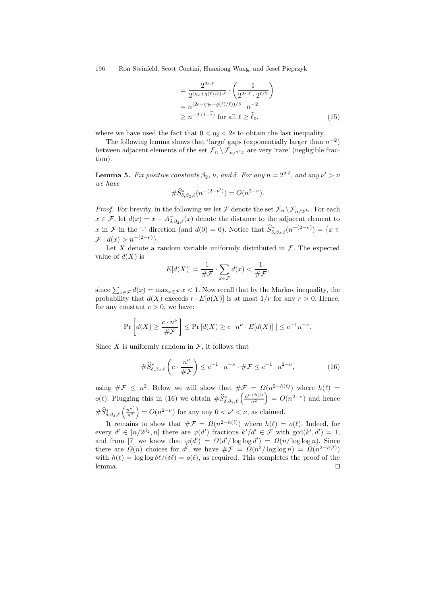$$
= \frac{2^{2\epsilon \cdot \ell}}{2^{(\eta_2 + g(\ell)/\ell) \cdot \ell}} \cdot \left(\frac{1}{2^{2\epsilon \cdot \ell} \cdot 2^{\ell/2}}\right)
$$
  
=  $n^{(2\epsilon - (\eta_2 + g(\ell)/\ell))/\delta} \cdot n^{-2}$   
 $\ge n^{-2 \cdot (1-\epsilon)}$  for all  $\ell \ge \hat{\ell}_0$ , (15)

where we have used the fact that  $0 < \eta_2 < 2\epsilon$  to obtain the last inequality.

The following lemma shows that 'large' gaps (exponentially larger than  $n^{-2}$ ) between adjacent elements of the set  $\mathcal{F}_n \setminus \mathcal{F}_{n/2^{\beta_2}}$  are very 'rare' (negligible fraction).

**Lemma 5.** Fix positive constants  $\beta_2$ ,  $\nu$ , and  $\delta$ . For any  $n = 2^{\delta \cdot \ell}$ , and any  $\nu' > \nu$ we have

$$
\#\widehat{S}^*_{\delta,\beta_2,\ell}(n^{-(2-\nu')})=O(n^{2-\nu}).
$$

*Proof.* For brevity, in the following we let  $\mathcal F$  denote the set  $\mathcal F_n \setminus \mathcal F_{n/2^{\beta_2}}$ . For each  $x \in \mathcal{F}$ , let  $d(x) = x - A_{\delta,\beta_2,\ell}^-(x)$  denote the distance to the adjacent element to x in F in the '-' direction (and  $d(0) = 0$ ). Notice that  $\hat{S}_{\delta,\beta_2,\ell}^*(n^{-(2-\nu)}) = \{x \in$  $\mathcal{F}: d(x) > n^{-(2-\nu)}\}.$ 

Let X denote a random variable uniformly distributed in  $\mathcal F$ . The expected value of  $d(X)$  is

$$
E[d(X)] = \frac{1}{\# \mathcal{F}} \cdot \sum_{x \in \mathcal{F}} d(x) < \frac{1}{\# \mathcal{F}},
$$

since  $\sum_{x \in \mathcal{F}} d(x) = \max_{x \in \mathcal{F}} x < 1$ . Now recall that by the Markov inequality, the probability that  $d(X)$  exceeds  $r \cdot E[d(X)]$  is at most  $1/r$  for any  $r > 0$ . Hence, for any constant  $c > 0$ , we have:

$$
\Pr\left[d(X) \ge \frac{c \cdot n^{\nu}}{\#\mathcal{F}}\right] \le \Pr\left[d(X) \ge c \cdot n^{\nu} \cdot E[d(X)]\right] \le c^{-1} n^{-\nu}.
$$

Since X is uniformly random in  $\mathcal{F}$ , it follows that

$$
\#\widehat{S}_{\delta,\beta_2,\ell}^*\left(c \cdot \frac{n^{\nu}}{\#\mathcal{F}}\right) \leq c^{-1} \cdot n^{-\nu} \cdot \#\mathcal{F} \leq c^{-1} \cdot n^{2-\nu},\tag{16}
$$

using  $\#\mathcal{F} \leq n^2$ . Below we will show that  $\#\mathcal{F} = \Omega(n^{2-h(\ell)})$  where  $h(\ell) =$  $o(\ell)$ . Plugging this in (16) we obtain  $\#\widehat{S}^*_{\delta,\beta_2,\ell}\left(\frac{n^{\nu+h(\ell)}}{n^2}\right)$  $n<sup>2</sup>$  $= O(n^{2-\nu})$  and hence  $\#\widehat{S}_{\delta,\beta_2,\ell}^{\ast}\left(\frac{n^{\nu'}}{n^2}\right)$  $n<sup>2</sup>$  $= O(n^{2-\nu})$  for any any  $0 < \nu' < \nu$ , as claimed.

It remains to show that  $\#\mathcal{F} = \Omega(n^{2-h(\ell)})$  where  $h(\ell) = o(\ell)$ . Indeed, for every  $d' \in [n/2^{\beta_2}, n]$  there are  $\varphi(d')$  fractions  $k'/d' \in \mathcal{F}$  with  $gcd(k', d') = 1$ , and from [7] we know that  $\varphi(d') = \Omega(d'/\log \log d') = \Omega(n/\log \log n)$ . Since there are  $\Omega(n)$  choices for d', we have  $\#\mathcal{F} = \Omega(n^2/\log \log n) = \Omega(n^{2-h(\ell)})$ with  $h(\ell) = \log \log \delta\ell/(\delta\ell) = o(\ell)$ , as required. This completes the proof of the lemma.  $\Box$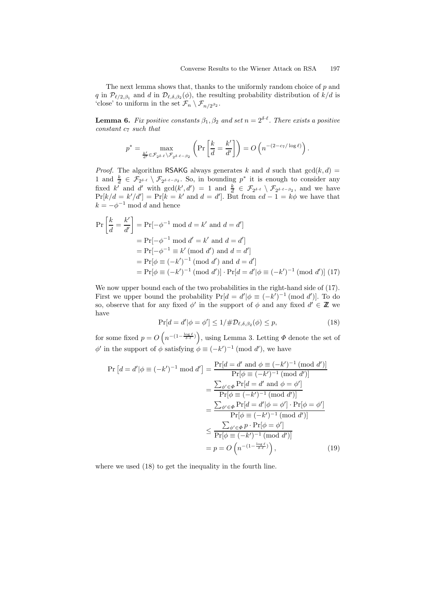The next lemma shows that, thanks to the uniformly random choice of p and q in  $\mathcal{P}_{\ell/2,\beta_1}$  and d in  $\mathcal{D}_{\ell,\delta,\beta_2}(\phi)$ , the resulting probability distribution of  $k/d$  is 'close' to uniform in the set  $\mathcal{F}_n \setminus \mathcal{F}_{n/2^{\beta_2}}$ .

**Lemma 6.** Fix positive constants  $\beta_1, \beta_2$  and set  $n = 2^{\delta \cdot \ell}$ . There exists a positive  $constant c<sub>7</sub> such that$ 

$$
p^* = \max_{\frac{k'}{d'} \in \mathcal{F}_{2^{\delta \cdot \ell}} \backslash \mathcal{F}_{2^{\delta \cdot \ell} - \beta_2}} \left( \Pr \left[ \frac{k}{d} = \frac{k'}{d'} \right] \right) = O \left( n^{-(2 - c_7 / \log \ell)} \right).
$$

*Proof.* The algorithm RSAKG always generates k and d such that  $gcd(k, d)$  = 1 and  $\frac{k}{d} \in \mathcal{F}_{2^{\delta \cdot \ell}} \setminus \mathcal{F}_{2^{\delta \cdot \ell-\beta_2}}$ . So, in bounding  $p^*$  it is enough to consider any fixed k' and d' with  $gcd(k', d') = 1$  and  $\frac{k}{d} \in \mathcal{F}_{2^{\delta \cdot \ell}} \setminus \mathcal{F}_{2^{\delta \cdot \ell} - \beta_2}$ , and we have  $\Pr[k/d = k'/d'] = \Pr[k = k' \text{ and } d = d']$ . But from  $ed - 1 = k\phi$  we have that  $k = -\phi^{-1} \mod d$  and hence

$$
\Pr\left[\frac{k}{d} = \frac{k'}{d'}\right] = \Pr[-\phi^{-1} \mod d = k' \text{ and } d = d']
$$
  
=  $\Pr[-\phi^{-1} \mod d' = k' \text{ and } d = d']$   
=  $\Pr[-\phi^{-1} \equiv k' \pmod{d'} \text{ and } d = d']$   
=  $\Pr[\phi \equiv (-k')^{-1} \pmod{d'} \text{ and } d = d']$   
=  $\Pr[\phi \equiv (-k')^{-1} \pmod{d'}] \cdot \Pr[d = d'|\phi \equiv (-k')^{-1} \pmod{d'}] \tag{17}$ 

We now upper bound each of the two probabilities in the right-hand side of  $(17)$ . First we upper bound the probability  $Pr[d = d' | \phi \equiv (-k')^{-1} \pmod{d'}]$ . To do so, observe that for any fixed  $\phi'$  in the support of  $\phi$  and any fixed  $d' \in \mathbb{Z}$  we have

$$
\Pr[d = d' | \phi = \phi'] \le 1/\# \mathcal{D}_{\ell, \delta, \beta_2}(\phi) \le p,\tag{18}
$$

for some fixed  $p = O\left(n^{-\left(1 - \frac{\log \ell}{\delta \cdot \ell}\right)}\right)$ , using Lemma 3. Letting  $\Phi$  denote the set of  $\phi'$  in the support of  $\phi$  satisfying  $\phi \equiv (-k')^{-1}$  (mod d'), we have

$$
\Pr\left[d=d'|\phi\equiv(-k')^{-1}\bmod d'\right] = \frac{\Pr[d=d'\bmod d\phi\equiv(-k')^{-1}\pmod{d'})}{\Pr[\phi\equiv(-k')^{-1}\pmod{d'})}
$$

$$
= \frac{\sum_{\phi'\in\Phi}\Pr[d=d'\bmod d')]}{\Pr[\phi\equiv(-k')^{-1}\pmod{d'})}
$$

$$
= \frac{\sum_{\phi'\in\Phi}\Pr[d=d'|\phi=\phi']\cdot\Pr[\phi=\phi']}{\Pr[\phi\equiv(-k')^{-1}\pmod{d'})]}
$$

$$
\leq \frac{\sum_{\phi'\in\Phi}p\cdot\Pr[\phi=\phi']}{\Pr[\phi\equiv(-k')^{-1}\pmod{d'})}
$$

$$
= p = O\left(n^{-(1-\frac{\log\ell}{\delta\cdot\ell})}\right), \tag{19}
$$

where we used (18) to get the inequality in the fourth line.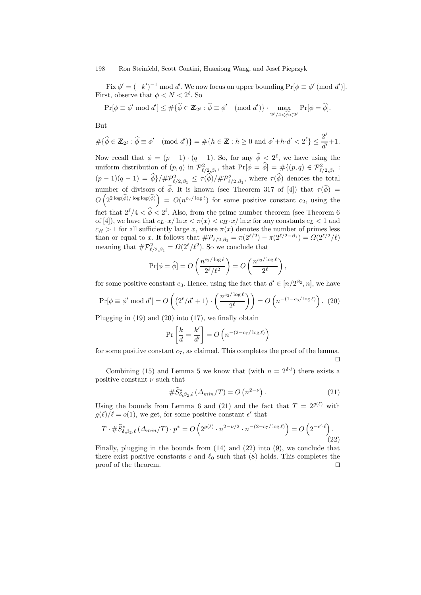Fix  $\phi' = (-k')^{-1} \mod d'$ . We now focus on upper bounding  $Pr[\phi \equiv \phi' \pmod{d'}]$ . First, observe that  $\phi < N < 2^\ell$ . So

$$
\Pr[\phi \equiv \phi' \bmod d'] \leq \#\{\widehat{\phi} \in \mathbb{Z}_{2^{\ell}} : \widehat{\phi} \equiv \phi' \pmod{d'}\} \cdot \max_{2^{\ell}/4 < \widehat{\phi} < 2^{\ell}} \Pr[\phi = \widehat{\phi}].
$$

But

$$
\#\{\widehat{\phi}\in \mathbb{Z}_{2^{\ell}}:\widehat{\phi}\equiv \phi' \pmod{d'}\}=\#\{h\in \mathbb{Z}: h\geq 0 \text{ and } \phi'+h\cdot d'<2^{\ell}\}\leq \frac{2^{\ell}}{d'}+1.
$$

Now recall that  $\phi = (p-1) \cdot (q-1)$ . So, for any  $\phi \leq 2^{\ell}$ , we have using the uniform distribution of  $(p,q)$  in  $\mathcal{P}^2_{\ell/2,\beta_1}$ , that  $\Pr[\phi = \widetilde{\phi}] = \# \{(p,q) \in \mathcal{P}^2_{\ell/2,\beta_1}$ :  $(p-1)(q-1) = \widehat{\phi}$   $\frac{1}{p^2 \ell^2_{\ell/2,\beta_1}} \leq \frac{\tau(\widehat{\phi})}{p^2 \ell^2_{\ell/2,\beta_1}}$ , where  $\tau(\widehat{\phi})$  denotes the total number of divisors of  $\hat{\phi}$ . It is known (see Theorem 317 of [4]) that  $\tau(\hat{\phi})$  =  $O\left(2^{2\log(\widehat{\phi})/\log\log(\widehat{\phi})}\right) = O(n^{c_2/\log\ell})$  for some positive constant  $c_2$ , using the fact that  $2^{\ell}/4 < \tilde{\phi} < 2^{\ell}$ . Also, from the prime number theorem (see Theorem 6 of [4]), we have that  $c_L \cdot x / \ln x < \pi(x) < c_H \cdot x / \ln x$  for any constants  $c_L < 1$  and  $c_H > 1$  for all sufficiently large x, where  $\pi(x)$  denotes the number of primes less than or equal to x. It follows that  $\#\mathcal{P}_{\ell/2,\beta_1} = \pi(2^{\ell/2}) - \pi(2^{\ell/2-\beta_1}) = \Omega(2^{\ell/2}/\ell)$ meaning that  $\#\mathcal{P}_{\ell/2,\beta_1}^2 = \Omega(2^{\ell}/\ell^2)$ . So we conclude that

$$
\Pr[\phi = \widehat{\phi}] = O\left(\frac{n^{c_2/\log \ell}}{2^{\ell}/\ell^2}\right) = O\left(\frac{n^{c_3/\log \ell}}{2^{\ell}}\right),\,
$$

for some positive constant  $c_3$ . Hence, using the fact that  $d' \in [n/2^{\beta_2}, n]$ , we have

$$
\Pr[\phi \equiv \phi' \bmod d'] = O\left(\left(2^{\ell}/d' + 1\right) \cdot \left(\frac{n^{cs/\log \ell}}{2^{\ell}}\right)\right) = O\left(n^{-\left(1 - c_3/\log \ell\right)}\right). (20)
$$

Plugging in  $(19)$  and  $(20)$  into  $(17)$ , we finally obtain

$$
\Pr\left[\frac{k}{d} = \frac{k'}{d'}\right] = O\left(n^{-\left(2 - c_7/\log \ell\right)}\right)
$$

for some positive constant  $c_7$ , as claimed. This completes the proof of the lemma.  $\Box$ 

Combining (15) and Lemma 5 we know that (with  $n = 2^{\delta \cdot \ell}$ ) there exists a positive constant  $\nu$  such that

$$
\#\widehat{S}_{\delta,\beta_2,\ell}^*(\Delta_{\min}/T) = O\left(n^{2-\nu}\right). \tag{21}
$$

Using the bounds from Lemma 6 and (21) and the fact that  $T = 2^{g(\ell)}$  with  $g(\ell)/\ell = o(1)$ , we get, for some positive constant  $\epsilon'$  that

$$
T \cdot \#\widehat{S}^*_{\delta,\beta_2,\ell}(\Delta_{\min}/T) \cdot p^* = O\left(2^{g(\ell)} \cdot n^{2-\nu/2} \cdot n^{-(2-c_7/\log \ell)}\right) = O\left(2^{-\epsilon'.\ell}\right). \tag{22}
$$

Finally, plugging in the bounds from  $(14)$  and  $(22)$  into  $(9)$ , we conclude that there exist positive constants c and  $\ell_0$  such that (8) holds. This completes the proof of the theorem.  $\Box$